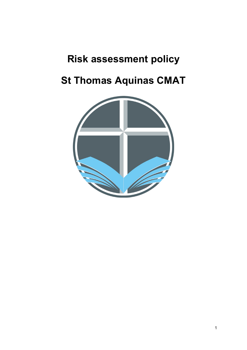## **Risk assessment policy**

# **St Thomas Aquinas CMAT**

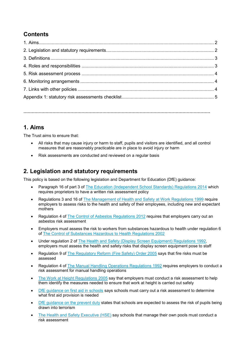## **Contents**

**………………………………………………………………………………………………………………………**

## **1. Aims**

The Trust aims to ensure that:

- All risks that may cause injury or harm to staff, pupils and visitors are identified, and all control measures that are reasonably practicable are in place to avoid injury or harm
- Risk assessments are conducted and reviewed on a regular basis

## **2. Legislation and statutory requirements**

This policy is based on the following legislation and Department for Education (DfE) guidance:

- Paragraph 16 of part 3 of [The Education \(Independent School Standards\) Regulations 2014](http://www.legislation.gov.uk/uksi/2014/3283/schedule/part/3/made) which requires proprietors to have a written risk assessment policy
- Regulations 3 and 16 of [The Management of Health and Safety at Work Regulations 1999](http://www.legislation.gov.uk/uksi/1999/3242/contents/made) require employers to assess risks to the health and safety of their employees, including new and expectant mothers
- Regulation 4 of [The Control of Asbestos Regulations 2012](http://www.legislation.gov.uk/uksi/2012/632/regulation/4/made) requires that employers carry out an asbestos risk assessment
- Employers must assess the risk to workers from substances hazardous to health under regulation 6 of [The Control of Substances Hazardous to Health Regulations 2002](http://www.legislation.gov.uk/uksi/2002/2677/regulation/6/made)
- Under regulation 2 of [The Health and Safety \(Display Screen Equipment\) Regulations 1992,](http://www.legislation.gov.uk/uksi/1992/2792/regulation/2/made)  employers must assess the health and safety risks that display screen equipment pose to staff
- Regulation 9 of [The Regulatory Reform \(Fire Safety\) Order 2005](http://www.legislation.gov.uk/uksi/2005/1541/article/9/made) says that fire risks must be assessed
- Regulation 4 of [The Manual Handling Operations Regulations 1992](http://www.legislation.gov.uk/uksi/1992/2793/regulation/4/made) requires employers to conduct a risk assessment for manual handling operations
- [The Work at Height Regulations 2005](http://www.legislation.gov.uk/uksi/2005/735/regulation/6/made) say that employers must conduct a risk assessment to help them identify the measures needed to ensure that work at height is carried out safely
- [DfE guidance on first aid in schools](https://www.gov.uk/government/uploads/system/uploads/attachment_data/file/306370/guidance_on_first_aid_for_schools.pdf) says schools must carry out a risk assessment to determine what first aid provision is needed
- [DfE guidance on the prevent duty](https://www.gov.uk/government/uploads/system/uploads/attachment_data/file/445977/3799_Revised_Prevent_Duty_Guidance__England_Wales_V2-Interactive.pdf) states that schools are expected to assess the risk of pupils being drawn into terrorism
- [The Health and Safety Executive \(HSE\)](http://www.hse.gov.uk/entertainment/leisure/swimming-pool.htm) say schools that manage their own pools must conduct a risk assessment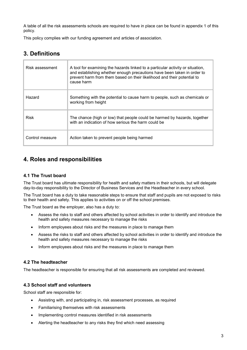A table of all the risk assessments schools are required to have in place can be found in appendix 1 of this policy.

This policy complies with our funding agreement and articles of association.

## **3. Definitions**

| Risk assessment | A tool for examining the hazards linked to a particular activity or situation,<br>and establishing whether enough precautions have been taken in order to<br>prevent harm from them based on their likelihood and their potential to<br>cause harm |
|-----------------|----------------------------------------------------------------------------------------------------------------------------------------------------------------------------------------------------------------------------------------------------|
| Hazard          | Something with the potential to cause harm to people, such as chemicals or<br>working from height                                                                                                                                                  |
| Risk            | The chance (high or low) that people could be harmed by hazards, together<br>with an indication of how serious the harm could be                                                                                                                   |
| Control measure | Action taken to prevent people being harmed                                                                                                                                                                                                        |

## **4. Roles and responsibilities**

#### **4.1 The Trust board**

The Trust board has ultimate responsibility for health and safety matters in their schools, but will delegate day-to-day responsibility to the Director of Business Services and the Headteacher in every school.

The Trust board has a duty to take reasonable steps to ensure that staff and pupils are not exposed to risks to their health and safety. This applies to activities on or off the school premises.

The Trust board as the employer, also has a duty to:

- Assess the risks to staff and others affected by school activities in order to identify and introduce the health and safety measures necessary to manage the risks
- Inform employees about risks and the measures in place to manage them
- Assess the risks to staff and others affected by school activities in order to identify and introduce the health and safety measures necessary to manage the risks
- Inform employees about risks and the measures in place to manage them

#### **4.2 The headteacher**

The headteacher is responsible for ensuring that all risk assessments are completed and reviewed.

#### **4.3 School staff and volunteers**

School staff are responsible for:

- Assisting with, and participating in, risk assessment processes, as required
- Familiarising themselves with risk assessments
- Implementing control measures identified in risk assessments
- Alerting the headteacher to any risks they find which need assessing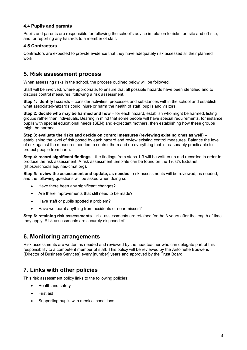#### **4.4 Pupils and parents**

Pupils and parents are responsible for following the school's advice in relation to risks, on-site and off-site, and for reporting any hazards to a member of staff.

#### **4.5 Contractors**

Contractors are expected to provide evidence that they have adequately risk assessed all their planned work.

### **5. Risk assessment process**

When assessing risks in the school, the process outlined below will be followed.

Staff will be involved, where appropriate, to ensure that all possible hazards have been identified and to discuss control measures, following a risk assessment.

**Step 1: identify hazards** – consider activities, processes and substances within the school and establish what associated-hazards could injure or harm the health of staff, pupils and visitors.

**Step 2: decide who may be harmed and how** – for each hazard, establish who might be harmed, listing groups rather than individuals. Bearing in mind that some people will have special requirements, for instance pupils with special educational needs (SEN) and expectant mothers, then establishing how these groups might be harmed.

**Step 3: evaluate the risks and decide on control measures (reviewing existing ones as well)** – establishing the level of risk posed by each hazard and review existing control measures. Balance the level of risk against the measures needed to control them and do everything that is reasonably practicable to protect people from harm.

**Step 4: record significant findings** – the findings from steps 1-3 will be written up and recorded in order to produce the risk assessment. A risk assessment template can be found on the Trust's Extranet (https://schools.aquinas-cmat.org).

**Step 5: review the assessment and update, as needed** –risk assessments will be reviewed, as needed, and the following questions will be asked when doing so:

- Have there been any significant changes?
- Are there improvements that still need to be made?
- Have staff or pupils spotted a problem?
- Have we learnt anything from accidents or near misses?

**Step 6: retaining risk assessments** – risk assessments are retained for the 3 years after the length of time they apply. Risk assessments are securely disposed of.

## **6. Monitoring arrangements**

Risk assessments are written as needed and reviewed by the headteacher who can delegate part of this responsibility to a competent member of staff. This policy will be reviewed by the Antoinette Bouwens (Director of Business Services) every [number] years and approved by the Trust Board.

## **7. Links with other policies**

This risk assessment policy links to the following policies:

- Health and safety
- First aid
- Supporting pupils with medical conditions